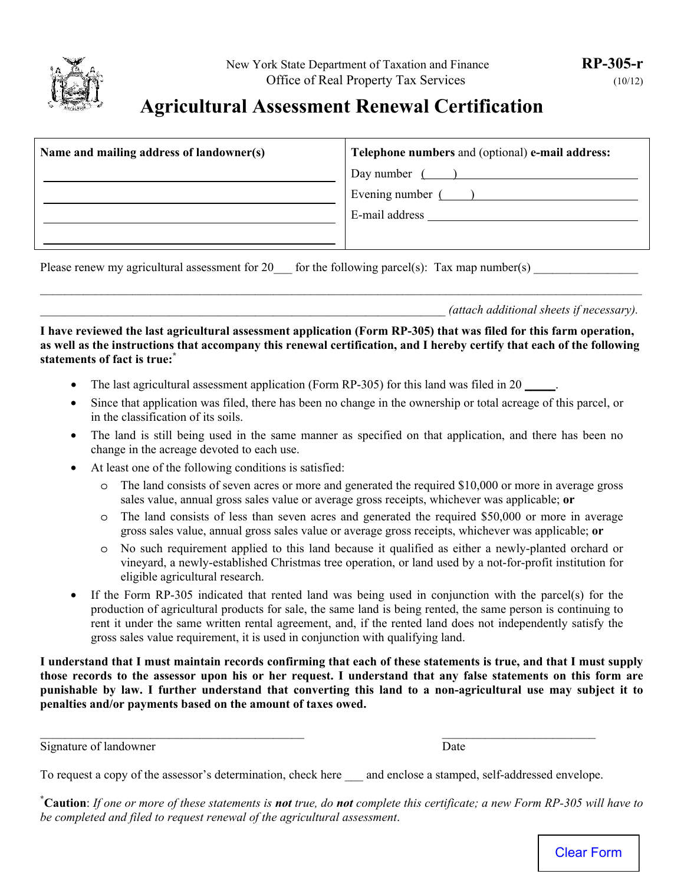

## **Agricultural Assessment Renewal Certification**

| Telephone numbers and (optional) e-mail address: |
|--------------------------------------------------|
| Day number $($ )                                 |
| Evening number $($ )                             |
| E-mail address                                   |
|                                                  |
|                                                  |

Please renew my agricultural assessment for 20  $\qquad$  for the following parcel(s): Tax map number(s)

\_\_\_\_\_\_\_\_\_\_\_\_\_\_\_\_\_\_\_\_\_\_\_\_\_\_\_\_\_\_\_\_\_\_\_\_\_\_\_\_\_\_\_\_\_\_\_\_\_\_\_\_\_\_\_\_\_\_\_\_\_\_\_\_\_\_ *(attach additional sheets if necessary).*

**I have reviewed the last agricultural assessment application (Form RP-305) that was filed for this farm operation, as well as the instructions that accompany this renewal certification, and I hereby certify that each of the following statements of fact is true:\***

\_\_\_\_\_\_\_\_\_\_\_\_\_\_\_\_\_\_\_\_\_\_\_\_\_\_\_\_\_\_\_\_\_\_\_\_\_\_\_\_\_\_\_\_\_\_\_\_\_\_\_\_\_\_\_\_\_\_\_\_\_\_\_\_\_\_\_\_\_\_\_\_\_\_\_\_\_\_\_\_\_\_\_\_\_\_\_\_\_\_\_\_\_\_\_\_\_\_

- The last agricultural assessment application (Form RP-305) for this land was filed in 20 \_\_\_\_\_.
- Since that application was filed, there has been no change in the ownership or total acreage of this parcel, or in the classification of its soils.
- The land is still being used in the same manner as specified on that application, and there has been no change in the acreage devoted to each use.
- At least one of the following conditions is satisfied:
	- o The land consists of seven acres or more and generated the required \$10,000 or more in average gross sales value, annual gross sales value or average gross receipts, whichever was applicable; **or**
	- o The land consists of less than seven acres and generated the required \$50,000 or more in average gross sales value, annual gross sales value or average gross receipts, whichever was applicable; **or**
	- o No such requirement applied to this land because it qualified as either a newly-planted orchard or vineyard, a newly-established Christmas tree operation, or land used by a not-for-profit institution for eligible agricultural research.
- If the Form RP-305 indicated that rented land was being used in conjunction with the parcel(s) for the production of agricultural products for sale, the same land is being rented, the same person is continuing to rent it under the same written rental agreement, and, if the rented land does not independently satisfy the gross sales value requirement, it is used in conjunction with qualifying land.

**I understand that I must maintain records confirming that each of these statements is true, and that I must supply those records to the assessor upon his or her request. I understand that any false statements on this form are punishable by law. I further understand that converting this land to a non-agricultural use may subject it to penalties and/or payments based on the amount of taxes owed.** 

Signature of landowner Date

**\* Caution**: *If one or more of these statements is not true, do not complete this certificate; a new Form RP-305 will have to be completed and filed to request renewal of the agricultural assessment*.